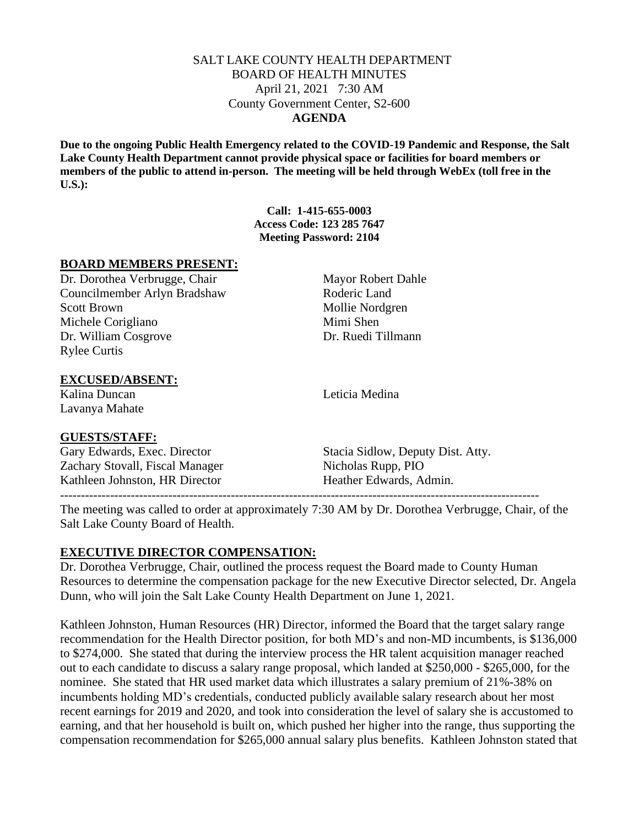### SALT LAKE COUNTY HEALTH DEPARTMENT BOARD OF HEALTH MINUTES April 21, 2021 7:30 AM County Government Center, S2-600 **AGENDA**

**Due to the ongoing Public Health Emergency related to the COVID-19 Pandemic and Response, the Salt Lake County Health Department cannot provide physical space or facilities for board members or members of the public to attend in-person. The meeting will be held through WebEx (toll free in the U.S.):**

> **Call: 1-415-655-0003 Access Code: 123 285 7647 Meeting Password: 2104**

### **BOARD MEMBERS PRESENT:**

Dr. Dorothea Verbrugge, Chair Mayor Robert Dahle Councilmember Arlyn Bradshaw Roderic Land Scott Brown Mollie Nordgren Michele Corigliano Mimi Shen Dr. William Cosgrove Dr. Ruedi Tillmann Rylee Curtis

## **EXCUSED/ABSENT:**

Kalina Duncan Leticia Medina Lavanya Mahate

### **GUESTS/STAFF:**

Zachary Stovall, Fiscal Manager Nicholas Rupp, PIO Kathleen Johnston, HR Director **Heather Edwards, Admin.** 

Gary Edwards, Exec. Director Stacia Sidlow, Deputy Dist. Atty.

------------------------------------------------------------------------------------------------------------------- The meeting was called to order at approximately 7:30 AM by Dr. Dorothea Verbrugge, Chair, of the Salt Lake County Board of Health.

# **EXECUTIVE DIRECTOR COMPENSATION:**

Dr. Dorothea Verbrugge, Chair, outlined the process request the Board made to County Human Resources to determine the compensation package for the new Executive Director selected, Dr. Angela Dunn, who will join the Salt Lake County Health Department on June 1, 2021.

Kathleen Johnston, Human Resources (HR) Director, informed the Board that the target salary range recommendation for the Health Director position, for both MD's and non-MD incumbents, is \$136,000 to \$274,000. She stated that during the interview process the HR talent acquisition manager reached out to each candidate to discuss a salary range proposal, which landed at \$250,000 - \$265,000, for the nominee. She stated that HR used market data which illustrates a salary premium of 21%-38% on incumbents holding MD's credentials, conducted publicly available salary research about her most recent earnings for 2019 and 2020, and took into consideration the level of salary she is accustomed to earning, and that her household is built on, which pushed her higher into the range, thus supporting the compensation recommendation for \$265,000 annual salary plus benefits. Kathleen Johnston stated that